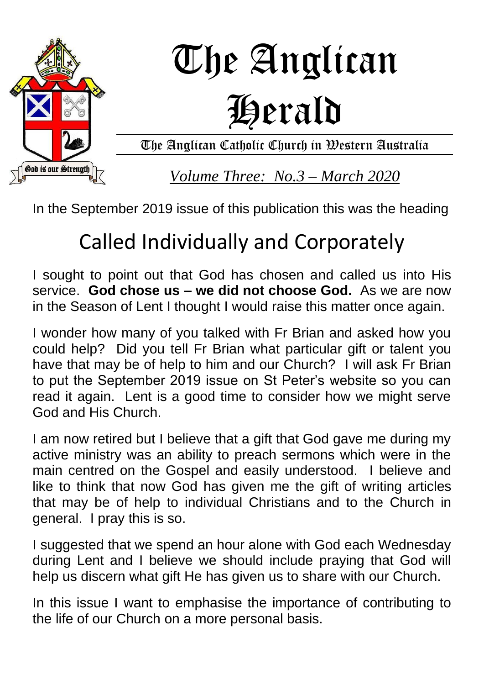

In the September 2019 issue of this publication this was the heading

# Called Individually and Corporately

I sought to point out that God has chosen and called us into His service. **God chose us – we did not choose God.** As we are now in the Season of Lent I thought I would raise this matter once again.

I wonder how many of you talked with Fr Brian and asked how you could help? Did you tell Fr Brian what particular gift or talent you have that may be of help to him and our Church? I will ask Fr Brian to put the September 2019 issue on St Peter's website so you can read it again. Lent is a good time to consider how we might serve God and His Church.

I am now retired but I believe that a gift that God gave me during my active ministry was an ability to preach sermons which were in the main centred on the Gospel and easily understood. I believe and like to think that now God has given me the gift of writing articles that may be of help to individual Christians and to the Church in general. I pray this is so.

I suggested that we spend an hour alone with God each Wednesday during Lent and I believe we should include praying that God will help us discern what gift He has given us to share with our Church.

In this issue I want to emphasise the importance of contributing to the life of our Church on a more personal basis.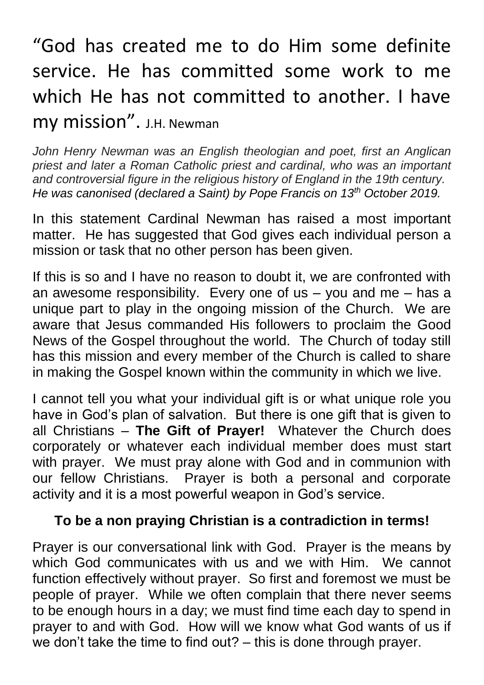## "God has created me to do Him some definite service. He has committed some work to me which He has not committed to another. I have my mission". J.H. Newman

*John Henry Newman was an English theologian and poet, first an Anglican priest and later a Roman Catholic priest and cardinal, who was an important and controversial figure in the religious history of England in the 19th century. He was canonised (declared a Saint) by Pope Francis on 13th October 2019.*

In this statement Cardinal Newman has raised a most important matter. He has suggested that God gives each individual person a mission or task that no other person has been given.

If this is so and I have no reason to doubt it, we are confronted with an awesome responsibility. Every one of  $us - you$  and  $me - has$  a unique part to play in the ongoing mission of the Church. We are aware that Jesus commanded His followers to proclaim the Good News of the Gospel throughout the world. The Church of today still has this mission and every member of the Church is called to share in making the Gospel known within the community in which we live.

I cannot tell you what your individual gift is or what unique role you have in God's plan of salvation. But there is one gift that is given to all Christians – **The Gift of Prayer!** Whatever the Church does corporately or whatever each individual member does must start with prayer. We must pray alone with God and in communion with our fellow Christians. Prayer is both a personal and corporate activity and it is a most powerful weapon in God's service.

#### **To be a non praying Christian is a contradiction in terms!**

Prayer is our conversational link with God. Prayer is the means by which God communicates with us and we with Him. We cannot function effectively without prayer. So first and foremost we must be people of prayer. While we often complain that there never seems to be enough hours in a day; we must find time each day to spend in prayer to and with God. How will we know what God wants of us if we don't take the time to find out? – this is done through prayer.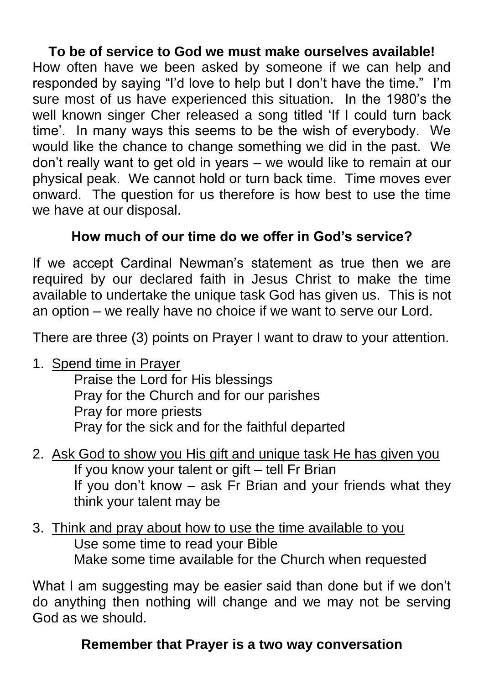## **To be of service to God we must make ourselves available!**

How often have we been asked by someone if we can help and responded by saying "I'd love to help but I don't have the time." I'm sure most of us have experienced this situation. In the 1980's the well known singer Cher released a song titled 'If I could turn back time'. In many ways this seems to be the wish of everybody. We would like the chance to change something we did in the past. We don't really want to get old in years – we would like to remain at our physical peak. We cannot hold or turn back time. Time moves ever onward. The question for us therefore is how best to use the time we have at our disposal.

## **How much of our time do we offer in God's service?**

If we accept Cardinal Newman's statement as true then we are required by our declared faith in Jesus Christ to make the time available to undertake the unique task God has given us. This is not an option – we really have no choice if we want to serve our Lord.

There are three (3) points on Prayer I want to draw to your attention.

1. Spend time in Prayer

Praise the Lord for His blessings Pray for the Church and for our parishes Pray for more priests Pray for the sick and for the faithful departed

- 2. Ask God to show you His gift and unique task He has given you If you know your talent or gift – tell Fr Brian If you don't know – ask Fr Brian and your friends what they think your talent may be
- 3. Think and pray about how to use the time available to you Use some time to read your Bible Make some time available for the Church when requested

What I am suggesting may be easier said than done but if we don't do anything then nothing will change and we may not be serving God as we should.

## **Remember that Prayer is a two way conversation**